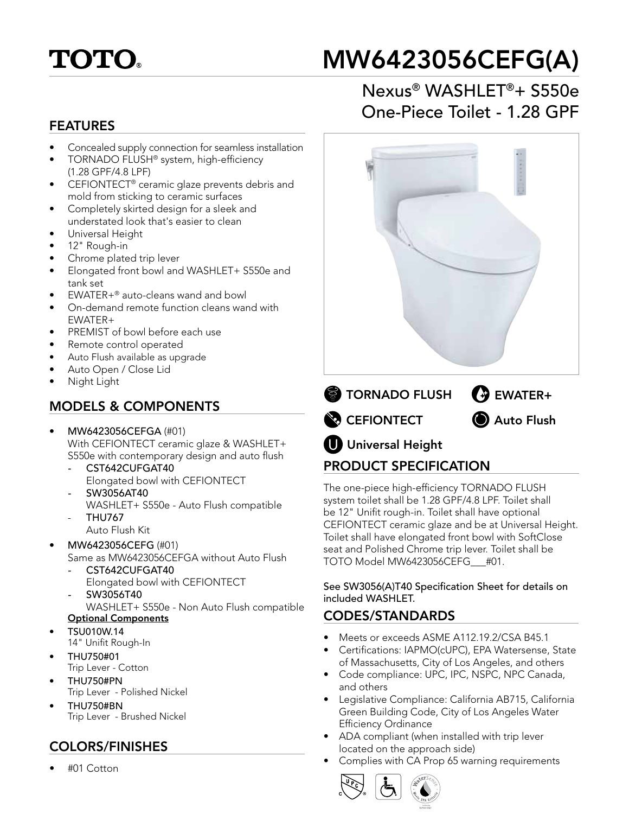

# MW6423056CEFG(A)

#### FEATURES

- Concealed supply connection for seamless installation
- TORNADO FLUSH® system, high-efficiency (1.28 GPF/4.8 LPF)
- CEFIONTECT® ceramic glaze prevents debris and mold from sticking to ceramic surfaces
- Completely skirted design for a sleek and understated look that's easier to clean
- Universal Height
- 12" Rough-in
- Chrome plated trip lever
- Elongated front bowl and WASHLET+ S550e and tank set
- EWATER+® auto-cleans wand and bowl
- On-demand remote function cleans wand with EWATER+
- PREMIST of bowl before each use
- Remote control operated
- Auto Flush available as upgrade
- Auto Open / Close Lid
- Night Light

#### MODELS & COMPONENTS

- MW6423056CEFGA (#01) With CEFIONTECT ceramic glaze & WASHLET+ S550e with contemporary design and auto flush
	- *-* CST642CUFGAT40 Elongated bowl with CEFIONTECT
	- *-* SW3056AT40 WASHLET+ S550e - Auto Flush compatible - THU767
	- Auto Flush Kit
- MW6423056CEFG (#01) Same as MW6423056CEFGA without Auto Flush
	- *-* CST642CUFGAT40 Elongated bowl with CEFIONTECT
	- *-* SW3056T40 WASHLET+ S550e - Non Auto Flush compatible Optional Components
- TSU010W.14
- 14" Unifit Rough-In
- THU750#01 Trip Lever - Cotton
- THU750#PN Trip Lever - Polished Nickel
- THU750#BN Trip Lever - Brushed Nickel

## COLORS/FINISHES

• #01 Cotton

# Nexus® WASHLET®+ S550e One-Piece Toilet - 1.28 GPF



**R** CEFIONTECT

- **Auto Flush**
- **U** Universal Height

# PRODUCT SPECIFICATION

The one-piece high-efficiency TORNADO FLUSH system toilet shall be 1.28 GPF/4.8 LPF. Toilet shall be 12" Unifit rough-in. Toilet shall have optional CEFIONTECT ceramic glaze and be at Universal Height. Toilet shall have elongated front bowl with SoftClose seat and Polished Chrome trip lever. Toilet shall be TOTO Model MW6423056CEFG\_\_\_#01.

See SW3056(A)T40 Specification Sheet for details on included WASHLET.

## CODES/STANDARDS

- Meets or exceeds ASME A112.19.2/CSA B45.1
- Certifications: IAPMO(cUPC), EPA Watersense, State of Massachusetts, City of Los Angeles, and others
- Code compliance: UPC, IPC, NSPC, NPC Canada, and others
- Legislative Compliance: California AB715, California Green Building Code, City of Los Angeles Water Efficiency Ordinance
- ADA compliant (when installed with trip lever located on the approach side)
- Complies with CA Prop 65 warning requirements